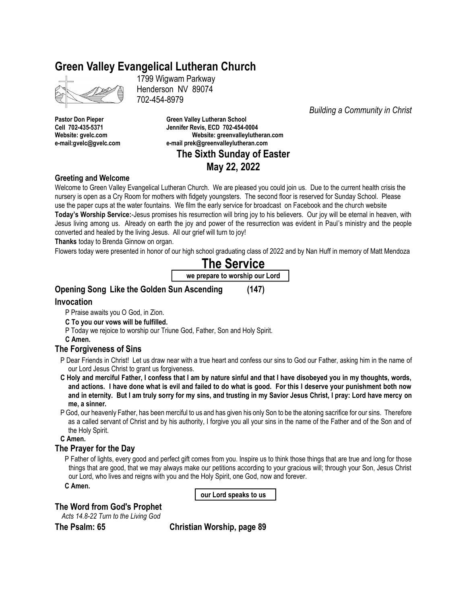# **Green Valley Evangelical Lutheran Church**

1799 Wigwam Parkway Henderson NV 89074 702-454-8979

**Pastor Don Pieper Green Valley Lutheran School Cell 702-435-5371 Jennifer Revis, ECD 702-454-0004 Website: gvelc.com Website: greenvalleylutheran.com e-mail:gvelc@gvelc.com e-mail prek@greenvalleylutheran.com The Sixth Sunday of Easter**

# **May 22, 2022**

## **Greeting and Welcome**

Welcome to Green Valley Evangelical Lutheran Church. We are pleased you could join us. Due to the current health crisis the nursery is open as a Cry Room for mothers with fidgety youngsters. The second floor is reserved for Sunday School. Please use the paper cups at the water fountains. We film the early service for broadcast on Facebook and the church website **Today's Worship Service:**-Jesus promises his resurrection will bring joy to his believers. Our joy will be eternal in heaven, with Jesus living among us. Already on earth the joy and power of the resurrection was evident in Paul's ministry and the people converted and healed by the living Jesus. All our grief will turn to joy!

**Thanks** today to Brenda Ginnow on organ.

Flowers today were presented in honor of our high school graduating class of 2022 and by Nan Huff in memory of Matt Mendoza

# **The Service we prepare to worship our Lord**

# **Opening Song Like the Golden Sun Ascending (147)**

## **Invocation**

P Praise awaits you O God, in Zion.

- **C To you our vows will be fulfilled.**
- P Today we rejoice to worship our Triune God, Father, Son and Holy Spirit.
- **C Amen.**

# **The Forgiveness of Sins**

- P Dear Friends in Christ! Let us draw near with a true heart and confess our sins to God our Father, asking him in the name of our Lord Jesus Christ to grant us forgiveness.
- **C Holy and merciful Father, I confess that I am by nature sinful and that I have disobeyed you in my thoughts, words, and actions. I have done what is evil and failed to do what is good. For this I deserve your punishment both now and in eternity. But I am truly sorry for my sins, and trusting in my Savior Jesus Christ, I pray: Lord have mercy on me, a sinner.**
- P God, our heavenly Father, has been merciful to us and has given his only Son to be the atoning sacrifice for our sins. Therefore as a called servant of Christ and by his authority, I forgive you all your sins in the name of the Father and of the Son and of the Holy Spirit.

**C Amen.**

# **The Prayer for the Day**

P Father of lights, every good and perfect gift comes from you. Inspire us to think those things that are true and long for those things that are good, that we may always make our petitions according to your gracious will; through your Son, Jesus Christ our Lord, who lives and reigns with you and the Holy Spirit, one God, now and forever.

**C Amen.**

**our Lord speaks to us**

# **The Word from God's Prophet**

*Acts 14.8-22 Turn to the Living God*

**The Psalm: 65 Christian Worship, page 89**

*Building a Community in Christ*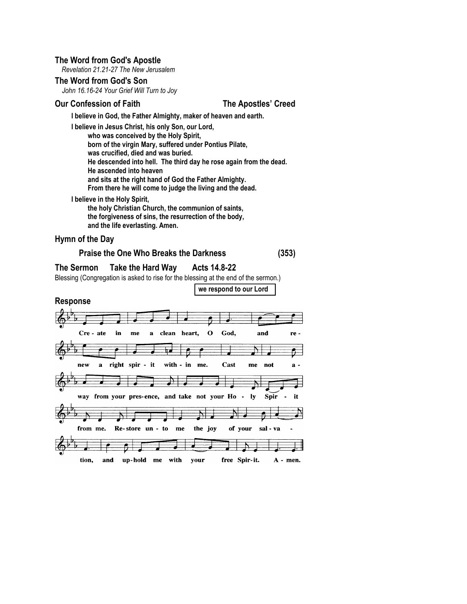## **The Word from God's Apostle**

*Revelation 21.21-27 The New Jerusalem*

## **The Word from God's Son**

*John 16.16-24 Your Grief Will Turn to Joy*

## **Our Confession of Faith The Apostles' Creed**

**I believe in God, the Father Almighty, maker of heaven and earth.**

**I believe in Jesus Christ, his only Son, our Lord, who was conceived by the Holy Spirit, born of the virgin Mary, suffered under Pontius Pilate, was crucified, died and was buried. He descended into hell. The third day he rose again from the dead. He ascended into heaven and sits at the right hand of God the Father Almighty. From there he will come to judge the living and the dead.**

# **I believe in the Holy Spirit,**

**the holy Christian Church, the communion of saints, the forgiveness of sins, the resurrection of the body, and the life everlasting. Amen.**

## **Hymn of the Day**

# **Praise the One Who Breaks the Darkness (353)**

## **The Sermon Take the Hard Way Acts 14.8-22**

Blessing (Congregation is asked to rise for the blessing at the end of the sermon.)

**we respond to our Lord**

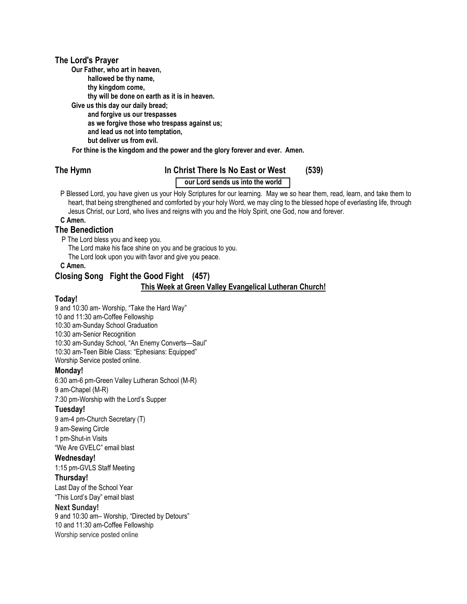## **The Lord's Prayer**

**Our Father, who art in heaven,**

**hallowed be thy name,**

**thy kingdom come,**

**thy will be done on earth as it is in heaven.**

**Give us this day our daily bread; and forgive us our trespasses as we forgive those who trespass against us; and lead us not into temptation, but deliver us from evil.**

**For thine is the kingdom and the power and the glory forever and ever. Amen.**

# **The Hymn In Christ There Is No East or West (539)**

# **our Lord sends us into the world**

P Blessed Lord, you have given us your Holy Scriptures for our learning. May we so hear them, read, learn, and take them to heart, that being strengthened and comforted by your holy Word, we may cling to the blessed hope of everlasting life, through Jesus Christ, our Lord, who lives and reigns with you and the Holy Spirit, one God, now and forever.

## **C Amen.**

## **The Benediction**

P The Lord bless you and keep you.

The Lord make his face shine on you and be gracious to you.

The Lord look upon you with favor and give you peace.

**C Amen.**

# **Closing Song Fight the Good Fight (457) This Week at Green Valley Evangelical Lutheran Church!**

## **Today!**

9 and 10:30 am- Worship, "Take the Hard Way" 10 and 11:30 am-Coffee Fellowship 10:30 am-Sunday School Graduation 10:30 am-Senior Recognition 10:30 am-Sunday School, "An Enemy Converts—Saul" 10:30 am-Teen Bible Class: "Ephesians: Equipped" Worship Service posted online.

# **Monday!**

6:30 am-6 pm-Green Valley Lutheran School (M-R) 9 am-Chapel (M-R) 7:30 pm-Worship with the Lord's Supper

# **Tuesday!**

9 am-4 pm-Church Secretary (T) 9 am-Sewing Circle 1 pm-Shut-in Visits "We Are GVELC" email blast

# **Wednesday!**

1:15 pm-GVLS Staff Meeting

# **Thursday!**

Last Day of the School Year "This Lord's Day" email blast

## **Next Sunday!**

9 and 10:30 am– Worship, "Directed by Detours" 10 and 11:30 am-Coffee Fellowship Worship service posted online